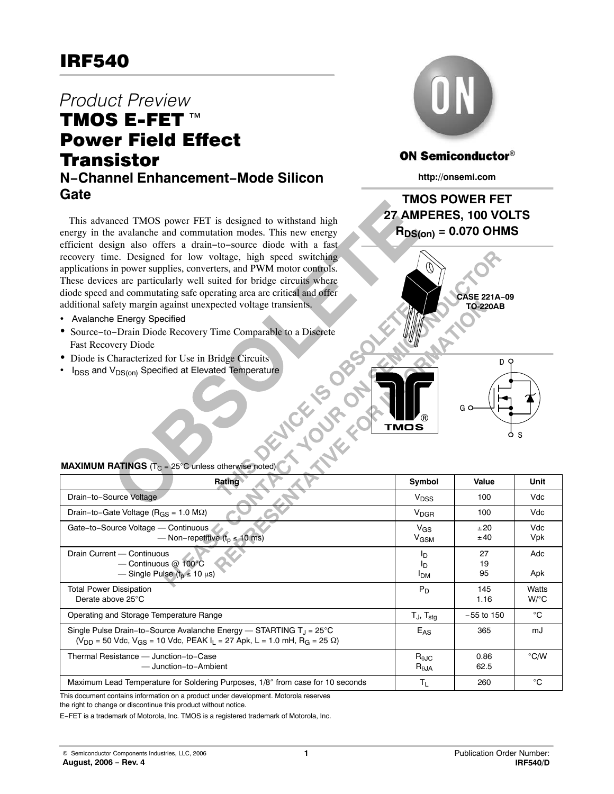## Product Preview TMOS E-FET<sup>™</sup> Power Field Effect **Transistor N−Channel Enhancement−Mode Silicon Gate**

This advanced TMOS power FET is designed to withstand high energy in the avalanche and commutation modes. This new energy efficient design also offers a drain−to−source diode with a fast recovery time. Designed for low voltage, high speed switching applications in power supplies, converters, and PWM motor controls. These devices are particularly well suited for bridge circuits where diode speed and commutating safe operating area are critical and offer additional safety margin against unexpected voltage transients.

- Avalanche Energy Specified
- Source−to−Drain Diode Recovery Time Comparable to a Discrete Fast Recovery Diode
- Diode is Characterized for Use in Bridge Circuits
- I<sub>DSS</sub> and V<sub>DS(on)</sub> Specified at Elevated Temperature



## **ON Semiconductor®**

**http://onsemi.com**

## **TMOS POWER FET 27 AMPERES, 100 VOLTS**  $R_{DS(on)} = 0.070$  OHMS



®

|     | D<br>O |  |
|-----|--------|--|
|     |        |  |
| G O |        |  |
|     |        |  |
|     | S      |  |

#### **MAXIMUM RATINGS**  $(T_C = 25^{\circ}C$  unless otherwise noted)

| <b>Rating</b>                                                                                                                                                                         |                                           | Value          | Unit             |
|---------------------------------------------------------------------------------------------------------------------------------------------------------------------------------------|-------------------------------------------|----------------|------------------|
| Drain-to-Source Voltage                                                                                                                                                               | $V_{DSS}$                                 | 100            | Vdc              |
| Drain-to-Gate Voltage ( $R_{GS}$ = 1.0 M $\Omega$ )                                                                                                                                   | $V_{\text{DGR}}$                          | 100            | Vdc              |
| Gate-to-Source Voltage - Continuous<br>— Non-repetitive ( $t_p \le 10$ ms)                                                                                                            | $V_{GS}$<br>$V_{\text{GSM}}$              | ±20<br>±40     | Vdc<br>Vpk       |
| Drain Current - Continuous<br>$-$ Continuous $@$ 100°C<br>— Single Pulse $(t_0 \le 10 \mu s)$                                                                                         | חי<br>In<br><b>I<sub>DM</sub></b>         | 27<br>19<br>95 | Adc<br>Apk       |
| <b>Total Power Dissipation</b><br>Derate above 25°C                                                                                                                                   | $P_D$                                     | 145<br>1.16    | Watts<br>$W$ /°C |
| Operating and Storage Temperature Range                                                                                                                                               | $T_J$ , $T_{sta}$                         | $-55$ to 150   | °C               |
| Single Pulse Drain-to-Source Avalanche Energy — STARTING $T_{\rm J}$ = 25°C<br>$(V_{DD} = 50$ Vdc, $V_{GS} = 10$ Vdc, PEAK $I_1 = 27$ Apk, L = 1.0 mH, R <sub>G</sub> = 25 $\Omega$ ) | $E_{AS}$                                  | 365            | mJ               |
| Thermal Resistance - Junction-to-Case<br>- Junction-to-Ambient                                                                                                                        | $R_{\theta \text{JC}}$<br>$R_{\theta,JA}$ | 0.86<br>62.5   | $\degree$ C/W    |
| Maximum Lead Temperature for Soldering Purposes, 1/8" from case for 10 seconds                                                                                                        | $\mathsf{T}_{\mathsf{L}}$                 | 260            | °C               |

This document contains information on a product under development. Motorola reserves

the right to change or discontinue this product without notice.

E−FET is a trademark of Motorola, Inc. TMOS is a registered trademark of Motorola, Inc.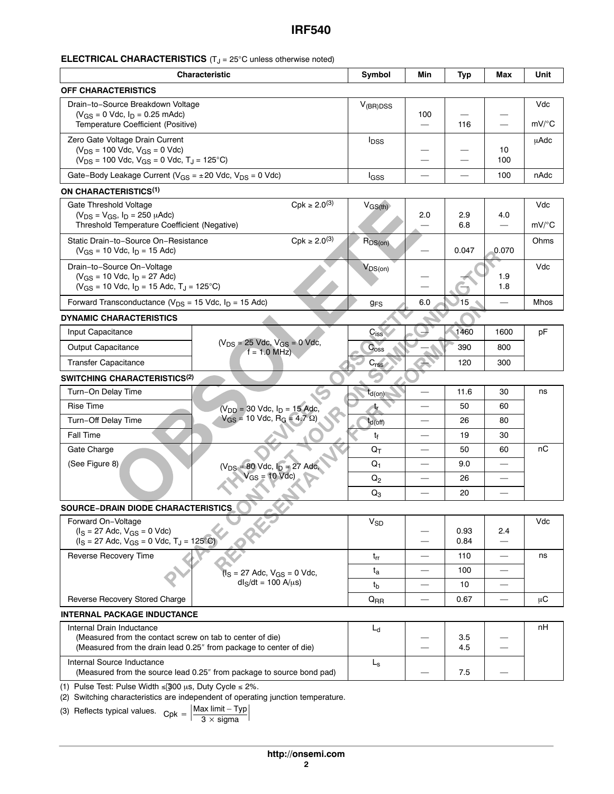## **ELECTRICAL CHARACTERISTICS** (T<sub>J</sub> = 25°C unless otherwise noted)

| <b>Characteristic</b>                                                                              |                                                                                                      | Symbol                  | Min                      | <b>Typ</b> | Max                      | Unit                |
|----------------------------------------------------------------------------------------------------|------------------------------------------------------------------------------------------------------|-------------------------|--------------------------|------------|--------------------------|---------------------|
| <b>OFF CHARACTERISTICS</b>                                                                         |                                                                                                      |                         |                          |            |                          |                     |
| Drain-to-Source Breakdown Voltage                                                                  |                                                                                                      | $V_{(BR)DSS}$           |                          |            |                          | Vdc                 |
| $(V_{GS} = 0$ Vdc, $I_D = 0.25$ mAdc)<br>Temperature Coefficient (Positive)                        |                                                                                                      |                         | 100                      | 116        | $\equiv$                 | $mV$ <sup>o</sup> C |
| Zero Gate Voltage Drain Current                                                                    |                                                                                                      | <b>I</b> <sub>DSS</sub> |                          |            |                          | uAdc                |
| $(V_{DS} = 100$ Vdc, $V_{GS} = 0$ Vdc)<br>$(V_{DS} = 100$ Vdc, $V_{GS} = 0$ Vdc, $T_J = 125$ °C)   |                                                                                                      |                         |                          |            | 10<br>100                |                     |
| Gate-Body Leakage Current ( $V_{GS} = \pm 20$ Vdc, $V_{DS} = 0$ Vdc)                               |                                                                                                      | <b>I</b> GSS            |                          |            | 100                      | nAdc                |
| ON CHARACTERISTICS <sup>(1)</sup>                                                                  |                                                                                                      |                         |                          |            |                          |                     |
| $Cpk \ge 2.0^{(3)}$<br>Gate Threshold Voltage                                                      |                                                                                                      | $V_{GS(th)}$            |                          |            |                          | Vdc                 |
| $(V_{DS} = V_{GS}, I_D = 250 \mu A d c)$                                                           |                                                                                                      |                         | 2.0                      | 2.9<br>6.8 | 4.0                      | $mV$ <sup>o</sup> C |
|                                                                                                    | Threshold Temperature Coefficient (Negative)                                                         |                         |                          |            |                          | Ohms                |
| $Cpk \ge 2.0^{(3)}$<br>Static Drain-to-Source On-Resistance<br>$(V_{GS} = 10$ Vdc, $I_D = 15$ Adc) |                                                                                                      | $R_{DS(on)}$            |                          | 0.047      | 0.070                    |                     |
| Drain-to-Source On-Voltage                                                                         |                                                                                                      | $V_{DS(on)}$            |                          |            |                          | Vdc                 |
| $(V_{GS} = 10$ Vdc, $I_D = 27$ Adc)<br>$(V_{GS} = 10$ Vdc, $I_D = 15$ Adc, $T_J = 125$ °C)         |                                                                                                      |                         |                          |            | 1.9<br>1.8               |                     |
| Forward Transconductance ( $V_{DS}$ = 15 Vdc, $I_D$ = 15 Adc)                                      |                                                                                                      | <b>gFS</b>              | 6.0                      | 15         |                          | Mhos                |
| <b>DYNAMIC CHARACTERISTICS</b>                                                                     |                                                                                                      |                         |                          |            |                          |                     |
| Input Capacitance                                                                                  |                                                                                                      | $C_{iss}$               |                          | 1460       | 1600                     | рF                  |
| Output Capacitance                                                                                 | $(V_{DS} = 25$ Vdc, $V_{GS} = 0$ Vdc,<br>$f = 1.0$ MHz)                                              | C <sub>oss</sub>        |                          | 390        | 800                      |                     |
| <b>Transfer Capacitance</b>                                                                        |                                                                                                      | C <sub>rss</sub>        |                          | 120        | 300                      |                     |
| <b>SWITCHING CHARACTERISTICS<sup>(2)</sup></b>                                                     |                                                                                                      |                         |                          |            |                          |                     |
| Turn-On Delay Time                                                                                 |                                                                                                      | $t_{\sf d(on)}$         |                          | 11.6       | 30                       | ns                  |
| <b>Rise Time</b>                                                                                   | $(V_{DD} = 30$ Vdc, $I_D = 15$ Adc,                                                                  |                         |                          | 50         | 60                       |                     |
| Turn-Off Delay Time                                                                                | $V_{GS}$ = 10 Vdc, R <sub>G</sub> = 4.7 $\Omega$ )                                                   | $t_{d(off)}$            |                          | 26         | 80                       |                     |
| <b>Fall Time</b>                                                                                   |                                                                                                      | t <sub>f</sub>          |                          | 19         | 30                       |                     |
| Gate Charge                                                                                        |                                                                                                      | $Q_T$                   | $\equiv$                 | 50         | 60                       | пC                  |
| (See Figure 8)                                                                                     | $(V_{DS} = 80$ Vdc, $I_D = 27$ Adc,<br>$Gs = 10$ Vdc)                                                | $Q_1$                   |                          | 9.0        |                          |                     |
|                                                                                                    |                                                                                                      | $Q_2$                   |                          | 26         |                          |                     |
|                                                                                                    |                                                                                                      | $Q_3$                   |                          | 20         |                          |                     |
| <b>SOURCE-DRAIN DIODE CHARACTERISTICS</b>                                                          | <b>PRES</b>                                                                                          |                         |                          |            |                          |                     |
| Forward On-Voltage<br>$(I_S = 27$ Adc, $V_{GS} = 0$ Vdc)                                           |                                                                                                      | $V_{SD}$                |                          | 0.93       | 2.4                      | Vdc                 |
| $(iS = 27$ Adc, $V_{GS} = 0$ Vdc, $T_J = 125^{\circ}C$                                             |                                                                                                      |                         |                          | 0.84       |                          |                     |
| Reverse Recovery Time                                                                              |                                                                                                      | $t_{rr}$                |                          | 110        | $\overline{\phantom{0}}$ | ns                  |
|                                                                                                    | $(I_S = 27$ Adc, $V_{GS} = 0$ Vdc,                                                                   | $t_{\rm a}$             |                          | 100        |                          |                     |
|                                                                                                    | $dl_S/dt = 100 A/µs$                                                                                 | t <sub>b</sub>          |                          | 10         |                          |                     |
| Reverse Recovery Stored Charge                                                                     |                                                                                                      | $Q_{RR}$                | $\overline{\phantom{0}}$ | 0.67       | $\qquad \qquad -$        | μC                  |
| <b>INTERNAL PACKAGE INDUCTANCE</b>                                                                 |                                                                                                      |                         |                          |            |                          |                     |
| Internal Drain Inductance<br>(Measured from the contact screw on tab to center of die)             |                                                                                                      | $L_d$                   |                          |            |                          | nH                  |
|                                                                                                    | (Measured from the drain lead 0.25" from package to center of die)                                   |                         |                          | 3.5<br>4.5 |                          |                     |
| Internal Source Inductance                                                                         | (Measured from the source lead 0.25" from package to source bond pad)                                | $L_{s}$                 |                          | 7.5        |                          |                     |
| (1) Pulse Test: Pulse Width $\leq$ 300 us, Duty Cycle $\leq$ 2%.                                   | (2) Switching characteristics are independent of operating junction temperature.<br>$Mov limit$ Tupl |                         |                          |            |                          |                     |

(3) Reflects typical values. 
$$
Cpk = \left| \frac{Max limit - Typ}{3 \times sigma} \right|
$$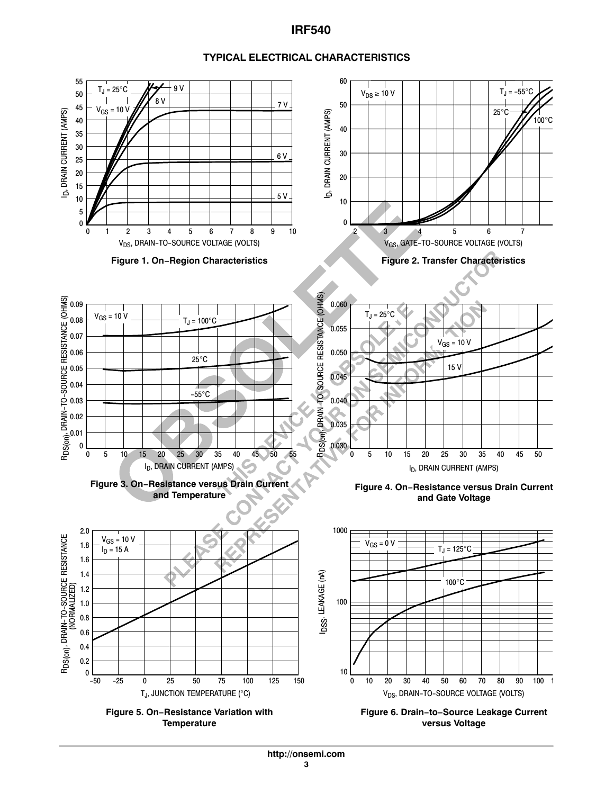

#### **TYPICAL ELECTRICAL CHARACTERISTICS**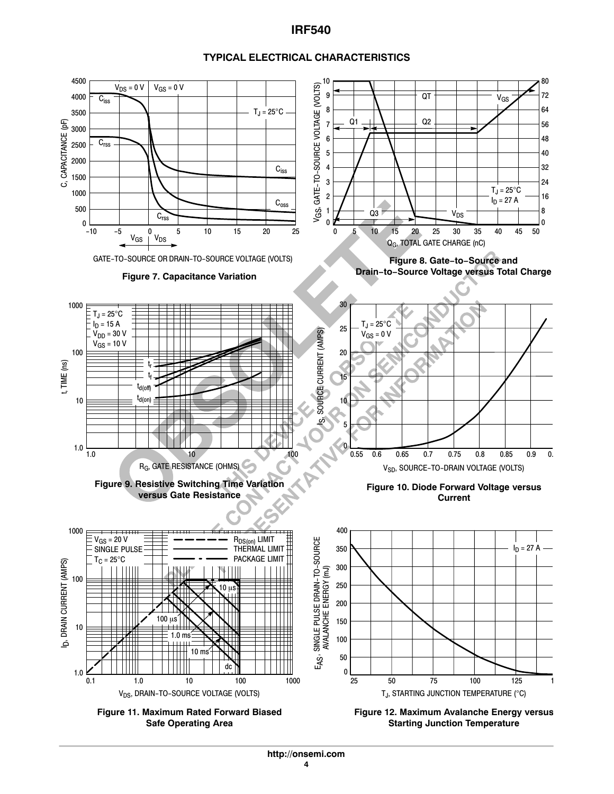

#### **TYPICAL ELECTRICAL CHARACTERISTICS**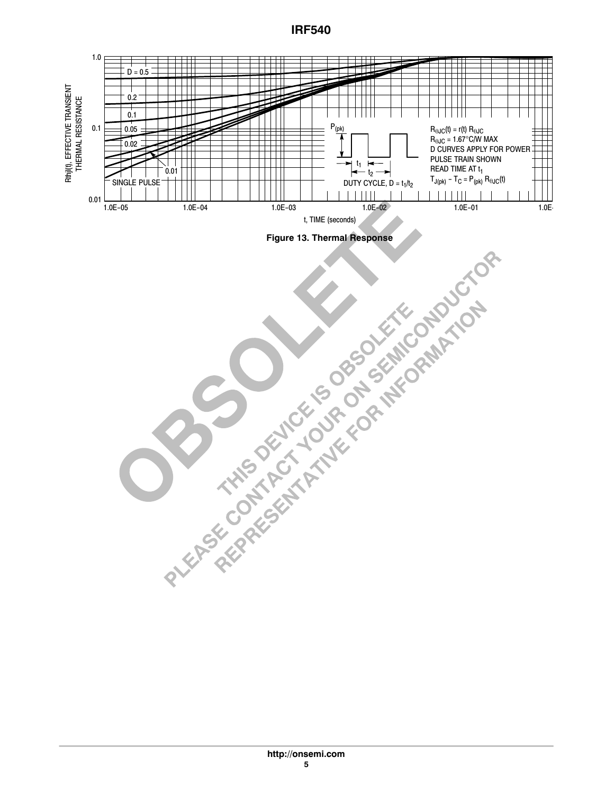